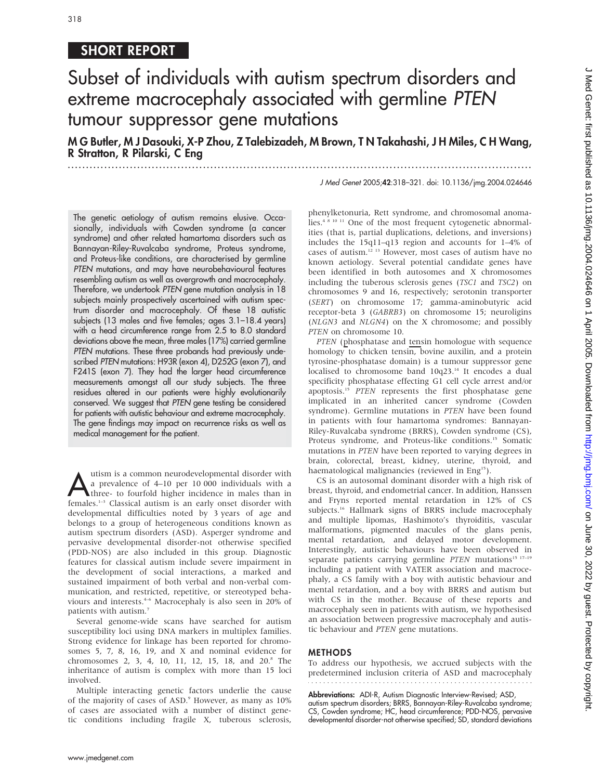# SHORT REPORT

# Subset of individuals with autism spectrum disorders and extreme macrocephaly associated with germline PTEN tumour suppressor gene mutations

M G Butler, M J Dasouki, X-P Zhou, Z Talebizadeh, M Brown, T N Takahashi, J H Miles, C H Wang, R Stratton, R Pilarski, C Eng

...............................................................................................................................

J Med Genet 2005;42:318–321. doi: 10.1136/jmg.2004.024646

The genetic aetiology of autism remains elusive. Occasionally, individuals with Cowden syndrome (a cancer syndrome) and other related hamartoma disorders such as Bannayan-Riley-Ruvalcaba syndrome, Proteus syndrome, and Proteus-like conditions, are characterised by germline PTEN mutations, and may have neurobehavioural features resembling autism as well as overgrowth and macrocephaly. Therefore, we undertook PTEN gene mutation analysis in 18 subjects mainly prospectively ascertained with autism spectrum disorder and macrocephaly. Of these 18 autistic subjects (13 males and five females; ages 3.1–18.4 years) with a head circumference range from 2.5 to 8.0 standard deviations above the mean, three males (17%) carried germline PTEN mutations. These three probands had previously undescribed PTEN mutations: H93R (exon 4), D252G (exon 7), and F241S (exon 7). They had the larger head circumference measurements amongst all our study subjects. The three residues altered in our patients were highly evolutionarily conserved. We suggest that PTEN gene testing be considered for patients with autistic behaviour and extreme macrocephaly. The gene findings may impact on recurrence risks as well as medical management for the patient.

tuism is a common neurodevelopmental disorder with<br>
a prevalence of 4–10 per 10 000 individuals with a<br>
three- to fourfold higher incidence in males than in<br>
females  $\frac{1}{2}$  Classical autism is an early onest disorder wi a prevalence of 4–10 per 10 000 individuals with a females.1–3 Classical autism is an early onset disorder with developmental difficulties noted by 3 years of age and belongs to a group of heterogeneous conditions known as autism spectrum disorders (ASD). Asperger syndrome and pervasive developmental disorder-not otherwise specified (PDD-NOS) are also included in this group. Diagnostic features for classical autism include severe impairment in the development of social interactions, a marked and sustained impairment of both verbal and non-verbal communication, and restricted, repetitive, or stereotyped behaviours and interests.<sup>4-6</sup> Macrocephaly is also seen in 20% of patients with autism.7

Several genome-wide scans have searched for autism susceptibility loci using DNA markers in multiplex families. Strong evidence for linkage has been reported for chromosomes 5, 7, 8, 16, 19, and X and nominal evidence for chromosomes 2, 3, 4, 10, 11, 12, 15, 18, and 20.<sup>8</sup> The inheritance of autism is complex with more than 15 loci involved.

Multiple interacting genetic factors underlie the cause of the majority of cases of ASD.<sup>9</sup> However, as many as 10% of cases are associated with a number of distinct genetic conditions including fragile X, tuberous sclerosis, phenylketonuria, Rett syndrome, and chromosomal anomalies.4 8 10 11 One of the most frequent cytogenetic abnormalities (that is, partial duplications, deletions, and inversions) includes the 15q11–q13 region and accounts for 1–4% of cases of autism.12 13 However, most cases of autism have no known aetiology. Several potential candidate genes have been identified in both autosomes and X chromosomes including the tuberous sclerosis genes (TSC1 and TSC2) on chromosomes 9 and 16, respectively; serotonin transporter (SERT) on chromosome 17; gamma-aminobutyric acid receptor-beta 3 (GABRB3) on chromosome 15; neuroligins (NLGN3 and NLGN4) on the X chromosome; and possibly PTEN on chromosome 10.

PTEN (phosphatase and tensin homologue with sequence homology to chicken tensin, bovine auxilin, and a protein tyrosine-phosphatase domain) is a tumour suppressor gene localised to chromosome band 10q23.14 It encodes a dual specificity phosphatase effecting G1 cell cycle arrest and/or apoptosis.<sup>15</sup> PTEN represents the first phosphatase gene implicated in an inherited cancer syndrome (Cowden syndrome). Germline mutations in PTEN have been found in patients with four hamartoma syndromes: Bannayan-Riley-Ruvalcaba syndrome (BRRS), Cowden syndrome (CS), Proteus syndrome, and Proteus-like conditions.<sup>15</sup> Somatic mutations in PTEN have been reported to varying degrees in brain, colorectal, breast, kidney, uterine, thyroid, and haematological malignancies (reviewed in Eng<sup>15</sup>).

CS is an autosomal dominant disorder with a high risk of breast, thyroid, and endometrial cancer. In addition, Hanssen and Fryns reported mental retardation in 12% of CS subjects.<sup>16</sup> Hallmark signs of BRRS include macrocephaly and multiple lipomas, Hashimoto's thyroiditis, vascular malformations, pigmented macules of the glans penis, mental retardation, and delayed motor development. Interestingly, autistic behaviours have been observed in separate patients carrying germline PTEN mutations<sup>15 17-19</sup> including a patient with VATER association and macrocephaly, a CS family with a boy with autistic behaviour and mental retardation, and a boy with BRRS and autism but with CS in the mother. Because of these reports and macrocephaly seen in patients with autism, we hypothesised an association between progressive macrocephaly and autistic behaviour and PTEN gene mutations.

#### **METHODS**

To address our hypothesis, we accrued subjects with the predetermined inclusion criteria of ASD and macrocephaly

Abbreviations: ADI-R, Autism Diagnostic Interview-Revised; ASD,

autism spectrum disorders; BRRS, Bannayan-Riley-Ruvalcaba syndrome; CS, Cowden syndrome; HC, head circumference; PDD-NOS, pervasive developmental disorder-not otherwise specified; SD, standard deviations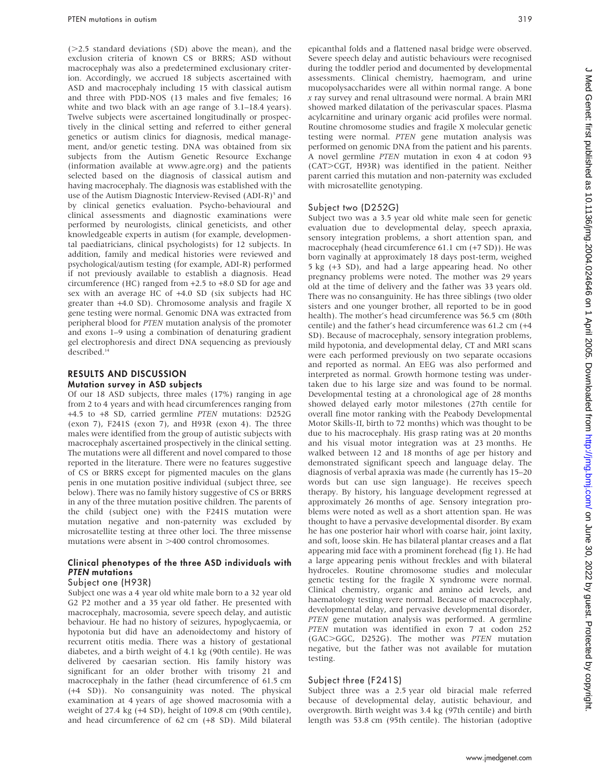$(>=2.5$  standard deviations  $(SD)$  above the mean), and the exclusion criteria of known CS or BRRS; ASD without macrocephaly was also a predetermined exclusionary criterion. Accordingly, we accrued 18 subjects ascertained with ASD and macrocephaly including 15 with classical autism and three with PDD-NOS (13 males and five females; 16 white and two black with an age range of 3.1–18.4 years). Twelve subjects were ascertained longitudinally or prospectively in the clinical setting and referred to either general genetics or autism clinics for diagnosis, medical management, and/or genetic testing. DNA was obtained from six subjects from the Autism Genetic Resource Exchange (information available at www.agre.org) and the patients selected based on the diagnosis of classical autism and having macrocephaly. The diagnosis was established with the use of the Autism Diagnostic Interview-Revised (ADI-R)<sup>5</sup> and by clinical genetics evaluation. Psycho-behavioural and clinical assessments and diagnostic examinations were performed by neurologists, clinical geneticists, and other knowledgeable experts in autism (for example, developmental paediatricians, clinical psychologists) for 12 subjects. In addition, family and medical histories were reviewed and psychological/autism testing (for example, ADI-R) performed if not previously available to establish a diagnosis. Head circumference (HC) ranged from +2.5 to +8.0 SD for age and sex with an average HC of +4.0 SD (six subjects had HC greater than +4.0 SD). Chromosome analysis and fragile X gene testing were normal. Genomic DNA was extracted from peripheral blood for PTEN mutation analysis of the promoter and exons 1–9 using a combination of denaturing gradient gel electrophoresis and direct DNA sequencing as previously described.<sup>14</sup>

#### RESULTS AND DISCUSSION Mutation survey in ASD subjects

Of our 18 ASD subjects, three males (17%) ranging in age from 2 to 4 years and with head circumferences ranging from +4.5 to +8 SD, carried germline PTEN mutations: D252G (exon 7), F241S (exon 7), and H93R (exon 4). The three males were identified from the group of autistic subjects with macrocephaly ascertained prospectively in the clinical setting. The mutations were all different and novel compared to those reported in the literature. There were no features suggestive of CS or BRRS except for pigmented macules on the glans penis in one mutation positive individual (subject three, see below). There was no family history suggestive of CS or BRRS in any of the three mutation positive children. The parents of the child (subject one) with the F241S mutation were mutation negative and non-paternity was excluded by microsatellite testing at three other loci. The three missense mutations were absent in  $>400$  control chromosomes.

### Clinical phenotypes of the three ASD individuals with PTEN mutations

#### Subject one (H93R)

Subject one was a 4 year old white male born to a 32 year old G2 P2 mother and a 35 year old father. He presented with macrocephaly, macrosomia, severe speech delay, and autistic behaviour. He had no history of seizures, hypoglycaemia, or hypotonia but did have an adenoidectomy and history of recurrent otitis media. There was a history of gestational diabetes, and a birth weight of 4.1 kg (90th centile). He was delivered by caesarian section. His family history was significant for an older brother with trisomy 21 and macrocephaly in the father (head circumference of 61.5 cm (+4 SD)). No consanguinity was noted. The physical examination at 4 years of age showed macrosomia with a weight of 27.4 kg (+4 SD), height of 109.8 cm (90th centile), and head circumference of 62 cm (+8 SD). Mild bilateral epicanthal folds and a flattened nasal bridge were observed. Severe speech delay and autistic behaviours were recognised during the toddler period and documented by developmental assessments. Clinical chemistry, haemogram, and urine mucopolysaccharides were all within normal range. A bone x ray survey and renal ultrasound were normal. A brain MRI showed marked dilatation of the perivascular spaces. Plasma acylcarnitine and urinary organic acid profiles were normal. Routine chromosome studies and fragile X molecular genetic testing were normal. PTEN gene mutation analysis was performed on genomic DNA from the patient and his parents. A novel germline PTEN mutation in exon 4 at codon 93 (CAT>CGT, H93R) was identified in the patient. Neither parent carried this mutation and non-paternity was excluded with microsatellite genotyping.

#### Subject two (D252G)

Subject two was a 3.5 year old white male seen for genetic evaluation due to developmental delay, speech apraxia, sensory integration problems, a short attention span, and macrocephaly (head circumference 61.1 cm (+7 SD)). He was born vaginally at approximately 18 days post-term, weighed 5 kg (+3 SD), and had a large appearing head. No other pregnancy problems were noted. The mother was 29 years old at the time of delivery and the father was 33 years old. There was no consanguinity. He has three siblings (two older sisters and one younger brother, all reported to be in good health). The mother's head circumference was 56.5 cm (80th centile) and the father's head circumference was 61.2 cm (+4 SD). Because of macrocephaly, sensory integration problems, mild hypotonia, and developmental delay, CT and MRI scans were each performed previously on two separate occasions and reported as normal. An EEG was also performed and interpreted as normal. Growth hormone testing was undertaken due to his large size and was found to be normal. Developmental testing at a chronological age of 28 months showed delayed early motor milestones (27th centile for overall fine motor ranking with the Peabody Developmental Motor Skills-II, birth to 72 months) which was thought to be due to his macrocephaly. His grasp rating was at 20 months and his visual motor integration was at 23 months. He walked between 12 and 18 months of age per history and demonstrated significant speech and language delay. The diagnosis of verbal apraxia was made (he currently has 15–20 words but can use sign language). He receives speech therapy. By history, his language development regressed at approximately 26 months of age. Sensory integration problems were noted as well as a short attention span. He was thought to have a pervasive developmental disorder. By exam he has one posterior hair whorl with coarse hair, joint laxity, and soft, loose skin. He has bilateral plantar creases and a flat appearing mid face with a prominent forehead (fig 1). He had a large appearing penis without freckles and with bilateral hydroceles. Routine chromosome studies and molecular genetic testing for the fragile X syndrome were normal. Clinical chemistry, organic and amino acid levels, and haematology testing were normal. Because of macrocephaly, developmental delay, and pervasive developmental disorder, PTEN gene mutation analysis was performed. A germline PTEN mutation was identified in exon 7 at codon 252 (GAC>GGC, D252G). The mother was PTEN mutation negative, but the father was not available for mutation testing.

#### Subject three (F241S)

Subject three was a 2.5 year old biracial male referred because of developmental delay, autistic behaviour, and overgrowth. Birth weight was 3.4 kg (97th centile) and birth length was 53.8 cm (95th centile). The historian (adoptive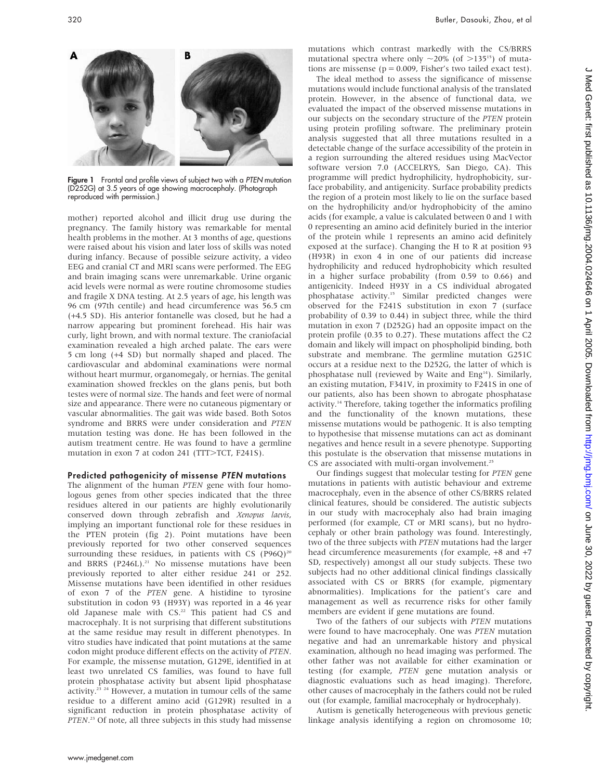

Figure 1 Frontal and profile views of subject two with a PTEN mutation (D252G) at 3.5 years of age showing macrocephaly. (Photograph reproduced with permission.)

mother) reported alcohol and illicit drug use during the pregnancy. The family history was remarkable for mental health problems in the mother. At 3 months of age, questions were raised about his vision and later loss of skills was noted during infancy. Because of possible seizure activity, a video EEG and cranial CT and MRI scans were performed. The EEG and brain imaging scans were unremarkable. Urine organic acid levels were normal as were routine chromosome studies and fragile X DNA testing. At 2.5 years of age, his length was 96 cm (97th centile) and head circumference was 56.5 cm (+4.5 SD). His anterior fontanelle was closed, but he had a narrow appearing but prominent forehead. His hair was curly, light brown, and with normal texture. The craniofacial examination revealed a high arched palate. The ears were 5 cm long (+4 SD) but normally shaped and placed. The cardiovascular and abdominal examinations were normal without heart murmur, organomegaly, or hernias. The genital examination showed freckles on the glans penis, but both testes were of normal size. The hands and feet were of normal size and appearance. There were no cutaneous pigmentary or vascular abnormalities. The gait was wide based. Both Sotos syndrome and BRRS were under consideration and PTEN mutation testing was done. He has been followed in the autism treatment centre. He was found to have a germline mutation in exon 7 at codon 241 (TTT>TCT, F241S).

#### Predicted pathogenicity of missense PTEN mutations

The alignment of the human PTEN gene with four homologous genes from other species indicated that the three residues altered in our patients are highly evolutionarily conserved down through zebrafish and Xenopus laevis, implying an important functional role for these residues in the PTEN protein (fig 2). Point mutations have been previously reported for two other conserved sequences surrounding these residues, in patients with CS (P96Q)<sup>20</sup> and BRRS (P246L).<sup>21</sup> No missense mutations have been previously reported to alter either residue 241 or 252. Missense mutations have been identified in other residues of exon 7 of the PTEN gene. A histidine to tyrosine substitution in codon 93 (H93Y) was reported in a 46 year old Japanese male with CS.<sup>22</sup> This patient had CS and macrocephaly. It is not surprising that different substitutions at the same residue may result in different phenotypes. In vitro studies have indicated that point mutations at the same codon might produce different effects on the activity of PTEN. For example, the missense mutation, G129E, identified in at least two unrelated CS families, was found to have full protein phosphatase activity but absent lipid phosphatase activity.23 24 However, a mutation in tumour cells of the same residue to a different amino acid (G129R) resulted in a significant reduction in protein phosphatase activity of PTEN.<sup>23</sup> Of note, all three subjects in this study had missense

mutations which contrast markedly with the CS/BRRS mutational spectra where only  $\sim$ 20% (of  $>$ 135<sup>15</sup>) of mutations are missense ( $p = 0.009$ , Fisher's two tailed exact test).

The ideal method to assess the significance of missense mutations would include functional analysis of the translated protein. However, in the absence of functional data, we evaluated the impact of the observed missense mutations in our subjects on the secondary structure of the PTEN protein using protein profiling software. The preliminary protein analysis suggested that all three mutations resulted in a detectable change of the surface accessibility of the protein in a region surrounding the altered residues using MacVector software version 7.0 (ACCELRYS, San Diego, CA). This programme will predict hydrophilicity, hydrophobicity, surface probability, and antigenicity. Surface probability predicts the region of a protein most likely to lie on the surface based on the hydrophilicity and/or hydrophobicity of the amino acids (for example, a value is calculated between 0 and 1 with 0 representing an amino acid definitely buried in the interior of the protein while 1 represents an amino acid definitely exposed at the surface). Changing the H to R at position 93 (H93R) in exon 4 in one of our patients did increase hydrophilicity and reduced hydrophobicity which resulted in a higher surface probability (from 0.59 to 0.66) and antigenicity. Indeed H93Y in a CS individual abrogated phosphatase activity.15 Similar predicted changes were observed for the F241S substitution in exon 7 (surface probability of 0.39 to 0.44) in subject three, while the third mutation in exon 7 (D252G) had an opposite impact on the protein profile (0.35 to 0.27). These mutations affect the C2 domain and likely will impact on phospholipid binding, both substrate and membrane. The germline mutation G251C occurs at a residue next to the D252G, the latter of which is phosphatase null (reviewed by Waite and Eng<sup>14</sup>). Similarly, an existing mutation, F341V, in proximity to F241S in one of our patients, also has been shown to abrogate phosphatase activity.14 Therefore, taking together the informatics profiling and the functionality of the known mutations, these missense mutations would be pathogenic. It is also tempting to hypothesise that missense mutations can act as dominant negatives and hence result in a severe phenotype. Supporting this postulate is the observation that missense mutations in CS are associated with multi-organ involvement.<sup>25</sup>

Our findings suggest that molecular testing for PTEN gene mutations in patients with autistic behaviour and extreme macrocephaly, even in the absence of other CS/BRRS related clinical features, should be considered. The autistic subjects in our study with macrocephaly also had brain imaging performed (for example, CT or MRI scans), but no hydrocephaly or other brain pathology was found. Interestingly, two of the three subjects with PTEN mutations had the larger head circumference measurements (for example, +8 and +7 SD, respectively) amongst all our study subjects. These two subjects had no other additional clinical findings classically associated with CS or BRRS (for example, pigmentary abnormalities). Implications for the patient's care and management as well as recurrence risks for other family members are evident if gene mutations are found.

Two of the fathers of our subjects with PTEN mutations were found to have macrocephaly. One was PTEN mutation negative and had an unremarkable history and physical examination, although no head imaging was performed. The other father was not available for either examination or testing (for example, PTEN gene mutation analysis or diagnostic evaluations such as head imaging). Therefore, other causes of macrocephaly in the fathers could not be ruled out (for example, familial macrocephaly or hydrocephaly).

Autism is genetically heterogeneous with previous genetic linkage analysis identifying a region on chromosome 10;